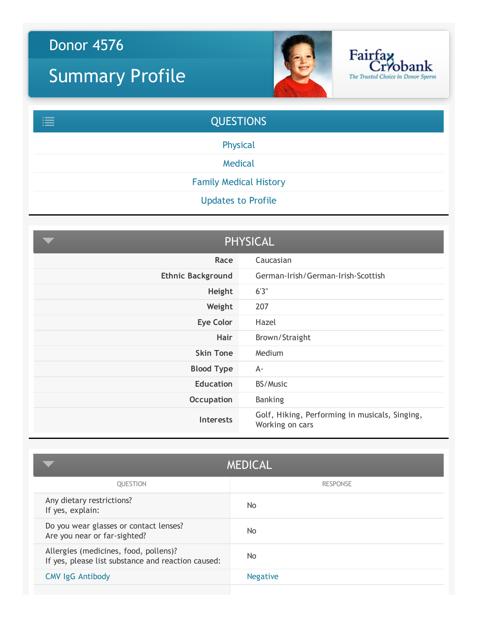## Donor 4576

## Summary Profile



Fairfay<br>Cryobank

The Trusted Choice in Donor Sperm



<span id="page-0-0"></span>

| <b>PHYSICAL</b>          |                                                                   |
|--------------------------|-------------------------------------------------------------------|
| Race                     | Caucasian                                                         |
| <b>Ethnic Background</b> | German-Irish/German-Irish-Scottish                                |
| Height                   | 6'3''                                                             |
| Weight                   | 207                                                               |
| <b>Eye Color</b>         | Hazel                                                             |
| <b>Hair</b>              | Brown/Straight                                                    |
| <b>Skin Tone</b>         | Medium                                                            |
| <b>Blood Type</b>        | A-                                                                |
| <b>Education</b>         | BS/Music                                                          |
| Occupation               | <b>Banking</b>                                                    |
| <b>Interests</b>         | Golf, Hiking, Performing in musicals, Singing,<br>Working on cars |

<span id="page-0-1"></span>

|                                                                                             | <b>MEDICAL</b>  |
|---------------------------------------------------------------------------------------------|-----------------|
| <b>OUESTION</b>                                                                             | <b>RESPONSE</b> |
| Any dietary restrictions?<br>If yes, explain:                                               | No.             |
| Do you wear glasses or contact lenses?<br>Are you near or far-sighted?                      | No.             |
| Allergies (medicines, food, pollens)?<br>If yes, please list substance and reaction caused: | No.             |
| <b>CMV IgG Antibody</b>                                                                     | <b>Negative</b> |
|                                                                                             |                 |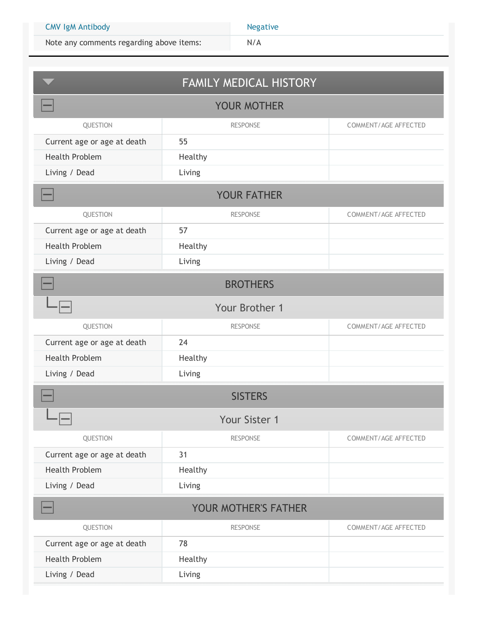Note any comments regarding above items:  $N/A$ 

<span id="page-1-0"></span>

| <b>FAMILY MEDICAL HISTORY</b> |                 |                             |
|-------------------------------|-----------------|-----------------------------|
| <b>YOUR MOTHER</b>            |                 |                             |
| QUESTION                      | <b>RESPONSE</b> | <b>COMMENT/AGE AFFECTED</b> |
| Current age or age at death   | 55              |                             |
| <b>Health Problem</b>         | Healthy         |                             |
| Living / Dead                 | Living          |                             |
| <b>YOUR FATHER</b>            |                 |                             |
| QUESTION                      | <b>RESPONSE</b> | COMMENT/AGE AFFECTED        |
| Current age or age at death   | 57              |                             |
| <b>Health Problem</b>         | Healthy         |                             |
| Living / Dead                 | Living          |                             |
| <b>BROTHERS</b>               |                 |                             |
| Your Brother 1                |                 |                             |
| QUESTION                      | <b>RESPONSE</b> | COMMENT/AGE AFFECTED        |
| Current age or age at death   | 24              |                             |
| <b>Health Problem</b>         | Healthy         |                             |
| Living / Dead                 | Living          |                             |
|                               | <b>SISTERS</b>  |                             |
| $\Box$<br>$-1-$               | Your Sister 1   |                             |
| QUESTION                      | <b>RESPONSE</b> | COMMENT/AGE AFFECTED        |
| Current age or age at death   | 31              |                             |
| <b>Health Problem</b>         | Healthy         |                             |
| Living / Dead                 | Living          |                             |
| YOUR MOTHER'S FATHER          |                 |                             |
| QUESTION                      | <b>RESPONSE</b> | COMMENT/AGE AFFECTED        |
| Current age or age at death   | 78              |                             |
| <b>Health Problem</b>         | Healthy         |                             |
| Living / Dead                 | Living          |                             |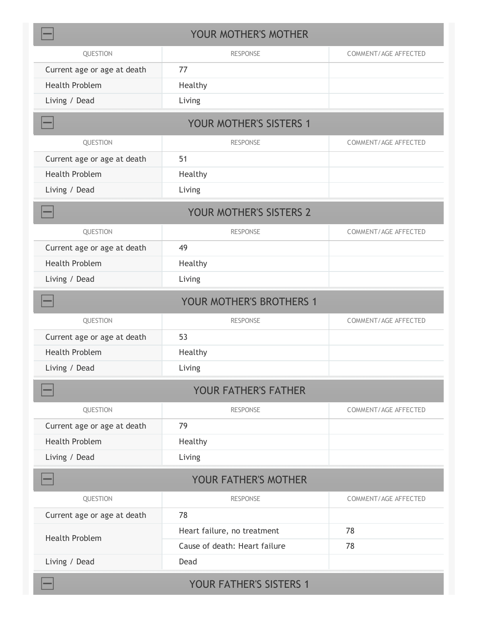| YOUR MOTHER'S MOTHER           |                               |                             |  |
|--------------------------------|-------------------------------|-----------------------------|--|
| QUESTION                       | <b>RESPONSE</b>               | COMMENT/AGE AFFECTED        |  |
| Current age or age at death    | 77                            |                             |  |
| <b>Health Problem</b>          | Healthy                       |                             |  |
| Living / Dead                  | Living                        |                             |  |
| <b>YOUR MOTHER'S SISTERS 1</b> |                               |                             |  |
| QUESTION                       | <b>RESPONSE</b>               | COMMENT/AGE AFFECTED        |  |
| Current age or age at death    | 51                            |                             |  |
| <b>Health Problem</b>          | Healthy                       |                             |  |
| Living / Dead                  | Living                        |                             |  |
|                                | YOUR MOTHER'S SISTERS 2       |                             |  |
| QUESTION                       | <b>RESPONSE</b>               | COMMENT/AGE AFFECTED        |  |
| Current age or age at death    | 49                            |                             |  |
| <b>Health Problem</b>          | Healthy                       |                             |  |
| Living / Dead                  | Living                        |                             |  |
|                                | YOUR MOTHER'S BROTHERS 1      |                             |  |
| QUESTION                       | <b>RESPONSE</b>               | <b>COMMENT/AGE AFFECTED</b> |  |
| Current age or age at death    | 53                            |                             |  |
| <b>Health Problem</b>          | Healthy                       |                             |  |
| Living / Dead                  | Living                        |                             |  |
|                                | <b>YOUR FATHER'S FATHER</b>   |                             |  |
| QUESTION                       | <b>RESPONSE</b>               | COMMENT/AGE AFFECTED        |  |
| Current age or age at death    | 79                            |                             |  |
| <b>Health Problem</b>          | Healthy                       |                             |  |
| Living / Dead                  | Living                        |                             |  |
| <b>YOUR FATHER'S MOTHER</b>    |                               |                             |  |
| QUESTION                       | <b>RESPONSE</b>               | COMMENT/AGE AFFECTED        |  |
| Current age or age at death    | 78                            |                             |  |
| <b>Health Problem</b>          | Heart failure, no treatment   | 78                          |  |
|                                | Cause of death: Heart failure | 78                          |  |
| Living / Dead                  | Dead                          |                             |  |
| YOUR FATHER'S SISTERS 1        |                               |                             |  |